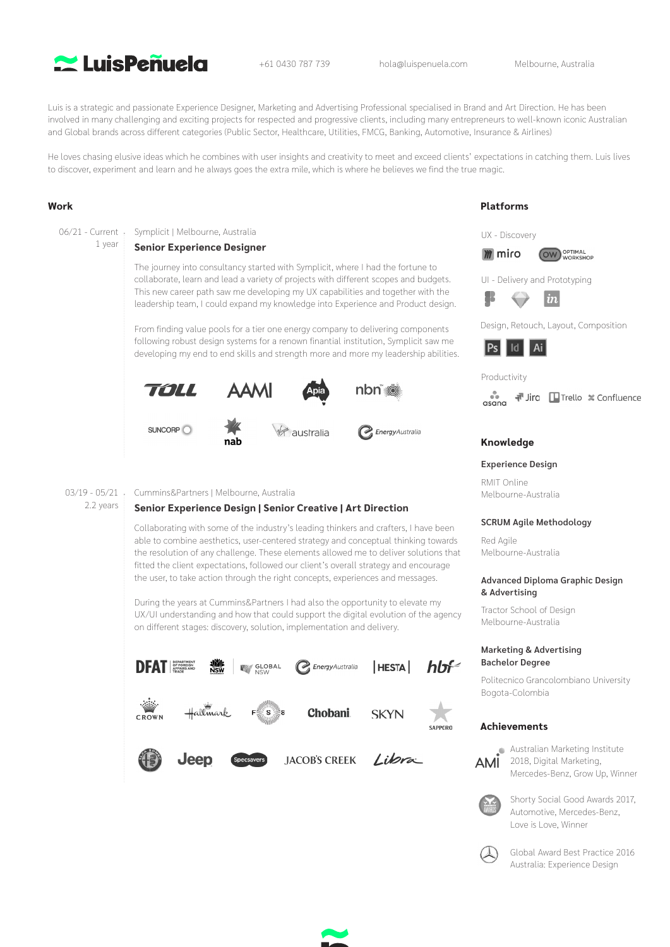

+61 0430 787 739 hola@luispenuela.com Melbourne, Australia

Luis is a strategic and passionate Experience Designer, Marketing and Advertising Professional specialised in Brand and Art Direction. He has been involved in many challenging and exciting projects for respected and progressive clients, including many entrepreneurs to well-known iconic Australian and Global brands across different categories (Public Sector, Healthcare, Utilities, FMCG, Banking, Automotive, Insurance & Airlines)

He loves chasing elusive ideas which he combines with user insights and creativity to meet and exceed clients' expectations in catching them. Luis lives to discover, experiment and learn and he always goes the extra mile, which is where he believes we find the true magic.

# **Work**

06/21 - Current 1 year The journey into consultancy started with Symplicit, where I had the fortune to collaborate, learn and lead a variety of projects with different scopes and budgets. This new career path saw me developing my UX capabilities and together with the leadership team, I could expand my knowledge into Experience and Product design. Symplicit | Melbourne, Australia **Senior Experience Designer**

From finding value pools for a tier one energy company to delivering components following robust design systems for a renown finantial institution, Symplicit saw me developing my end to end skills and strength more and more my leadership abilities.



#### 03/19 - 05/21 Cummins&Partners | Melbourne, Australia

2.2 years

## **Senior Experience Design | Senior Creative | Art Direction**

Collaborating with some of the industry's leading thinkers and crafters, I have been able to combine aesthetics, user-centered strategy and conceptual thinking towards the resolution of any challenge. These elements allowed me to deliver solutions that fitted the client expectations, followed our client's overall strategy and encourage the user, to take action through the right concepts, experiences and messages.

During the years at Cummins&Partners I had also the opportunity to elevate my UX/UI understanding and how that could support the digital evolution of the agency on different stages: discovery, solution, implementation and delivery.



#### UX - Discovery **M** miro **OW** OPTIMAL

**Platforms**





Design, Retouch, Layout, Composition



## Productivity



## **Knowledge**

## **Experience Design**

RMIT Online Melbourne-Australia

## **SCRUM Agile Methodology**

Red Agile Melbourne-Australia

#### **Advanced Diploma Graphic Design & Advertising**

Tractor School of Design Melbourne-Australia

## **Marketing & Advertising Bachelor Degree**

Politecnico Grancolombiano University Bogota-Colombia

## **Achievements**



**Australian Marketing Institute** 2018, Digital Marketing, Mercedes-Benz, Grow Up, Winner



Shorty Social Good Awards 2017, Automotive, Mercedes-Benz, Love is Love, Winner



Global Award Best Practice 2016 Australia: Experience Design